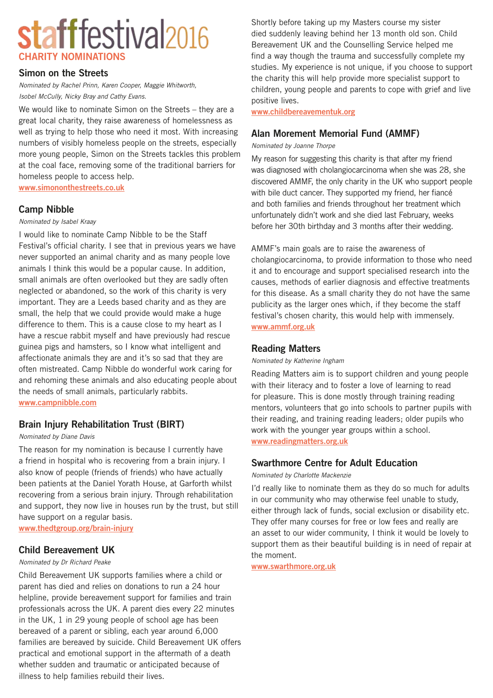# stafffestival<sub>2016</sub> **CHARITY NOMINATIONS**

## **Simon on the Streets**

*Nominated by Rachel Prinn, Karen Cooper, Maggie Whitworth, Isobel McCully, Nicky Bray and Cathy Evans.*

We would like to nominate Simon on the Streets – they are a great local charity, they raise awareness of homelessness as well as trying to help those who need it most. With increasing numbers of visibly homeless people on the streets, especially more young people, Simon on the Streets tackles this problem at the coal face, removing some of the traditional barriers for homeless people to access help. **[www.simononthestreets.co.uk](http://www.simononthestreets.co.uk)**

# **Camp Nibble**

#### *Nominated by Isabel Kraay*

I would like to nominate Camp Nibble to be the Staff Festival's official charity. I see that in previous years we have never supported an animal charity and as many people love animals I think this would be a popular cause. In addition, small animals are often overlooked but they are sadly often neglected or abandoned, so the work of this charity is very important. They are a Leeds based charity and as they are small, the help that we could provide would make a huge difference to them. This is a cause close to my heart as I have a rescue rabbit myself and have previously had rescue guinea pigs and hamsters, so I know what intelligent and affectionate animals they are and it's so sad that they are often mistreated. Camp Nibble do wonderful work caring for and rehoming these animals and also educating people about the needs of small animals, particularly rabbits. **[www.campnibble.com](http://www.campnibble.com)**

# **Brain Injury Rehabilitation Trust (BIRT)**

#### *Nominated by Diane Davis*

The reason for my nomination is because I currently have a friend in hospital who is recovering from a brain injury. I also know of people (friends of friends) who have actually been patients at the Daniel Yorath House, at Garforth whilst recovering from a serious brain injury. Through rehabilitation and support, they now live in houses run by the trust, but still have support on a regular basis.

**[www.thedtgroup.org/brain-injury](http://www.thedtgroup.org/brain-injury)**

# **Child Bereavement UK**

#### *Nominated by Dr Richard Peake*

Child Bereavement UK supports families where a child or parent has died and relies on donations to run a 24 hour helpline, provide bereavement support for families and train professionals across the UK. A parent dies every 22 minutes in the UK, 1 in 29 young people of school age has been bereaved of a parent or sibling, each year around 6,000 families are bereaved by suicide. Child Bereavement UK offers practical and emotional support in the aftermath of a death whether sudden and traumatic or anticipated because of illness to help families rebuild their lives.

Shortly before taking up my Masters course my sister died suddenly leaving behind her 13 month old son. Child Bereavement UK and the Counselling Service helped me find a way though the trauma and successfully complete my studies. My experience is not unique, if you choose to support the charity this will help provide more specialist support to children, young people and parents to cope with grief and live positive lives.

**[www.childbereavementuk.org](http://www.childbereavementuk.org)**

# **Alan Morement Memorial Fund (AMMF)**

#### *Nominated by Joanne Thorpe*

My reason for suggesting this charity is that after my friend was diagnosed with cholangiocarcinoma when she was 28, she discovered AMMF, the only charity in the UK who support people with bile duct cancer. They supported my friend, her fiancé and both families and friends throughout her treatment which unfortunately didn't work and she died last February, weeks before her 30th birthday and 3 months after their wedding.

AMMF's main goals are to raise the awareness of cholangiocarcinoma, to provide information to those who need it and to encourage and support specialised research into the causes, methods of earlier diagnosis and effective treatments for this disease. As a small charity they do not have the same publicity as the larger ones which, if they become the staff festival's chosen charity, this would help with immensely. **[www.ammf.org.uk](http://www.ammf.org.uk)**

## **Reading Matters**

#### *Nominated by Katherine Ingham*

Reading Matters aim is to support children and young people with their literacy and to foster a love of learning to read for pleasure. This is done mostly through training reading mentors, volunteers that go into schools to partner pupils with their reading, and training reading leaders; older pupils who work with the younger year groups within a school. **[www.readingmatters.org.uk](http://www.readingmatters.org.uk)**

# **Swarthmore Centre for Adult Education**

*Nominated by Charlotte Mackenzie*

I'd really like to nominate them as they do so much for adults in our community who may otherwise feel unable to study, either through lack of funds, social exclusion or disability etc. They offer many courses for free or low fees and really are an asset to our wider community, I think it would be lovely to support them as their beautiful building is in need of repair at the moment.

**[www.swarthmore.org.uk](http://www.swarthmore.org.uk)**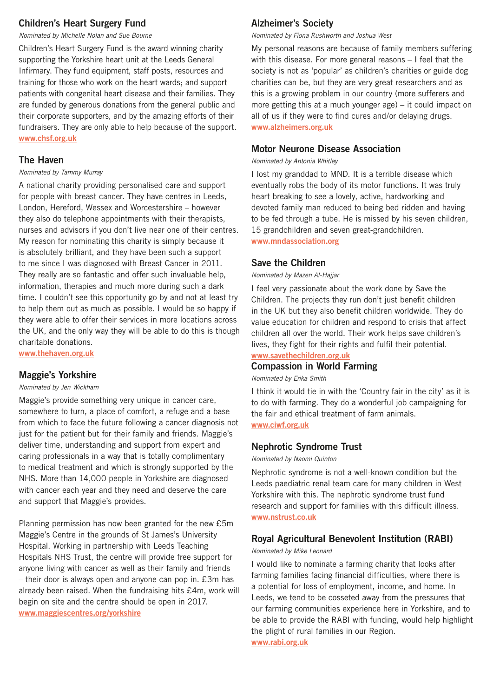# **Children's Heart Surgery Fund**

*Nominated by Michelle Nolan and Sue Bourne*

Children's Heart Surgery Fund is the award winning charity supporting the Yorkshire heart unit at the Leeds General Infirmary. They fund equipment, staff posts, resources and training for those who work on the heart wards; and support patients with congenital heart disease and their families. They are funded by generous donations from the general public and their corporate supporters, and by the amazing efforts of their fundraisers. They are only able to help because of the support. **[www.chsf.org.uk](http://www.chsf.org.uk)**

## **The Haven**

#### *Nominated by Tammy Murray*

A national charity providing personalised care and support for people with breast cancer. They have centres in Leeds, London, Hereford, Wessex and Worcestershire – however they also do telephone appointments with their therapists, nurses and advisors if you don't live near one of their centres. My reason for nominating this charity is simply because it is absolutely brilliant, and they have been such a support to me since I was diagnosed with Breast Cancer in 2011. They really are so fantastic and offer such invaluable help, information, therapies and much more during such a dark time. I couldn't see this opportunity go by and not at least try to help them out as much as possible. I would be so happy if they were able to offer their services in more locations across the UK, and the only way they will be able to do this is though charitable donations.

**[www.thehaven.org.uk](http://www.thehaven.org.uk)**

# **Maggie's Yorkshire**

#### *Nominated by Jen Wickham*

Maggie's provide something very unique in cancer care, somewhere to turn, a place of comfort, a refuge and a base from which to face the future following a cancer diagnosis not just for the patient but for their family and friends. Maggie's deliver time, understanding and support from expert and caring professionals in a way that is totally complimentary to medical treatment and which is strongly supported by the NHS. More than 14,000 people in Yorkshire are diagnosed with cancer each year and they need and deserve the care and support that Maggie's provides.

Planning permission has now been granted for the new £5m Maggie's Centre in the grounds of St James's University Hospital. Working in partnership with Leeds Teaching Hospitals NHS Trust, the centre will provide free support for anyone living with cancer as well as their family and friends – their door is always open and anyone can pop in. £3m has already been raised. When the fundraising hits £4m, work will begin on site and the centre should be open in 2017. **[www.maggiescentres.org/yorkshire](http://www.maggiescentres.org/yorkshire)**

# **Alzheimer's Society**

*Nominated by Fiona Rushworth and Joshua West*

My personal reasons are because of family members suffering with this disease. For more general reasons – I feel that the society is not as 'popular' as children's charities or guide dog charities can be, but they are very great researchers and as this is a growing problem in our country (more sufferers and more getting this at a much younger age) – it could impact on all of us if they were to find cures and/or delaying drugs. **[www.alzheimers.org.uk](http://www.alzheimers.org.uk)**

## **Motor Neurone Disease Association**

*Nominated by Antonia Whitley*

I lost my granddad to MND. It is a terrible disease which eventually robs the body of its motor functions. It was truly heart breaking to see a lovely, active, hardworking and devoted family man reduced to being bed ridden and having to be fed through a tube. He is missed by his seven children, 15 grandchildren and seven great-grandchildren. **[www.mndassociation.org](http://www.mndassociation.org)**

# **Save the Children**

*Nominated by Mazen Al-Hajjar*

I feel very passionate about the work done by Save the Children. The projects they run don't just benefit children in the UK but they also benefit children worldwide. They do value education for children and respond to crisis that affect children all over the world. Their work helps save children's lives, they fight for their rights and fulfil their potential.

#### **[www.savethechildren.org.uk](http://www.savethechildren.org.uk) Compassion in World Farming**

*Nominated by Erika Smith*

I think it would tie in with the 'Country fair in the city' as it is to do with farming. They do a wonderful job campaigning for the fair and ethical treatment of farm animals. **[www.ciwf.org.uk](http://www.ciwf.org.uk)**

# **Nephrotic Syndrome Trust**

*Nominated by Naomi Quinton*

Nephrotic syndrome is not a well-known condition but the Leeds paediatric renal team care for many children in West Yorkshire with this. The nephrotic syndrome trust fund research and support for families with this difficult illness. **[www.nstrust.co.uk](http://www.nstrust.co.uk)**

# **Royal Agricultural Benevolent Institution (RABI)**

## *Nominated by Mike Leonard*

I would like to nominate a farming charity that looks after farming families facing financial difficulties, where there is a potential for loss of employment, income, and home. In Leeds, we tend to be cosseted away from the pressures that our farming communities experience here in Yorkshire, and to be able to provide the RABI with funding, would help highlight the plight of rural families in our Region. **[www.rabi.org.uk](http://www.rabi.org.uk)**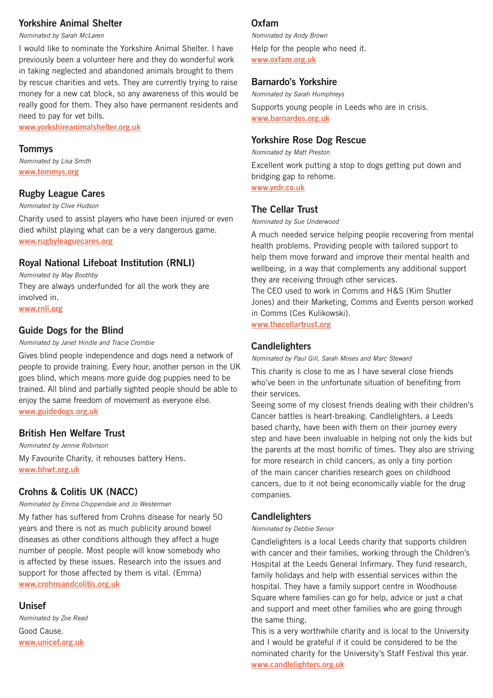# **Yorkshire Animal Shelter**

*Nominated by Sarah McLaren*

I would like to nominate the Yorkshire Animal Shelter. I have previously been a volunteer here and they do wonderful work in taking neglected and abandoned animals brought to them by rescue charities and vets. They are currently trying to raise money for a new cat block, so any awareness of this would be really good for them. They also have permanent residents and need to pay for vet bills.

**[www.yorkshireanimalshelter.org.uk](http://www.yorkshireanimalshelter.org.uk)**

## **Tommys**

*Nominated by Lisa Smith* **[www.tommys.org](http://www.tommys.org)**

# **Rugby League Cares**

*Nominated by Clive Hudson*

Charity used to assist players who have been injured or even died whilst playing what can be a very dangerous game. **[www.rugbyleaguecares.org](http://www.rugbyleaguecares.org)**

# **Royal National Lifeboat Institution (RNLI)**

*Nominated by May Boothby* They are always underfunded for all the work they are involved in. **[www.rnli.org](http://www.rnli.org)**

# **Guide Dogs for the Blind**

*Nominated by Janet Hindle and Tracie Crombie*

Gives blind people independence and dogs need a network of people to provide training. Every hour, another person in the UK goes blind, which means more guide dog puppies need to be trained. All blind and partially sighted people should be able to enjoy the same freedom of movement as everyone else. **[www.guidedogs.org.uk](http://www.guidedogs.org.uk)**

# **British Hen Welfare Trust**

*Nominated by Jennie Robinson* My Favourite Charity, it rehouses battery Hens. **[www.bhwt.org.uk](http://www.bhwt.org.uk)**

# **Crohns & Colitis UK (NACC)**

*Nominated by Emma Chippendale and Jo Westerman*

My father has suffered from Crohns disease for nearly 50 years and there is not as much publicity around bowel diseases as other conditions although they affect a huge number of people. Most people will know somebody who is affected by these issues. Research into the issues and support for those affected by them is vital. (Emma) **[www.crohnsandcolitis.org.uk](http://www.crohnsandcolitis.org.uk)**

# **Unisef**

*Nominated by Zoe Read* Good Cause. **[www.unicef.org.uk](http://www.unicef.org.uk)**

# **Oxfam**

*Nominated by Andy Brown* Help for the people who need it. **[www.oxfam.org.uk](http://www.oxfam.org.uk)**

# **Barnardo's Yorkshire**

*Nominated by Sarah Humphreys*

Supports young people in Leeds who are in crisis. **[www.barnardos.org.uk](http://www.barnardos.org.uk)**

# **Yorkshire Rose Dog Rescue**

*Nominated by Matt Preston*

Excellent work putting a stop to dogs getting put down and bridging gap to rehome. **[www.yrdr.co.uk](http://www.yrdr.co.uk)**

**The Cellar Trust**

*Nominated by Sue Underwood*

A much needed service helping people recovering from mental health problems. Providing people with tailored support to help them move forward and improve their mental health and wellbeing, in a way that complements any additional support they are receiving through other services.

The CEO used to work in Comms and H&S (Kim Shutler Jones) and their Marketing, Comms and Events person worked in Comms (Ces Kulikowski).

**[www.thecellartrust.org](http://www.thecellartrust.org)**

# **Candlelighters**

*Nominated by Paul Gill, Sarah Moses and Marc Steward*

This charity is close to me as I have several close friends who've been in the unfortunate situation of benefiting from their services.

Seeing some of my closest friends dealing with their children's Cancer battles is heart-breaking. Candlelighters, a Leeds based charity, have been with them on their journey every step and have been invaluable in helping not only the kids but the parents at the most horrific of times. They also are striving for more research in child cancers, as only a tiny portion of the main cancer charities research goes on childhood cancers, due to it not being economically viable for the drug companies.

# **Candlelighters**

*Nominated by Debbie Senior*

Candlelighters is a local Leeds charity that supports children with cancer and their families, working through the Children's Hospital at the Leeds General Infirmary. They fund research, family holidays and help with essential services within the hospital. They have a family support centre in Woodhouse Square where families can go for help, advice or just a chat and support and meet other families who are going through the same thing.

This is a very worthwhile charity and is local to the University and I would be grateful if it could be considered to be the nominated charity for the University's Staff Festival this year. **[www.candlelighters.org.uk](http://www.candlelighters.org.uk)**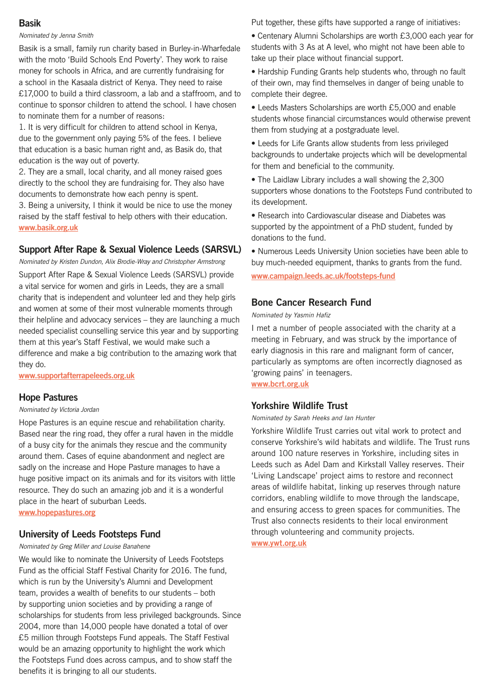# **Basik**

#### *Nominated by Jenna Smith*

Basik is a small, family run charity based in Burley-in-Wharfedale with the moto 'Build Schools End Poverty'. They work to raise money for schools in Africa, and are currently fundraising for a school in the Kasaala district of Kenya. They need to raise £17,000 to build a third classroom, a lab and a staffroom, and to continue to sponsor children to attend the school. I have chosen to nominate them for a number of reasons:

1. It is very difficult for children to attend school in Kenya, due to the government only paying 5% of the fees. I believe that education is a basic human right and, as Basik do, that education is the way out of poverty.

2. They are a small, local charity, and all money raised goes directly to the school they are fundraising for. They also have documents to demonstrate how each penny is spent.

3. Being a university, I think it would be nice to use the money raised by the staff festival to help others with their education. **[www.basik.org.uk](http://www.basik.org.uk)**

# **Support After Rape & Sexual Violence Leeds (SARSVL)**

*Nominated by Kristen Dundon, Alix Brodie-Wray and Christopher Armstrong*

Support After Rape & Sexual Violence Leeds (SARSVL) provide a vital service for women and girls in Leeds, they are a small charity that is independent and volunteer led and they help girls and women at some of their most vulnerable moments through their helpline and advocacy services – they are launching a much needed specialist counselling service this year and by supporting them at this year's Staff Festival, we would make such a difference and make a big contribution to the amazing work that they do.

**[www.supportafterrapeleeds.org.uk](http://www.supportafterrapeleeds.org.uk)**

# **Hope Pastures**

#### *Nominated by Victoria Jordan*

Hope Pastures is an equine rescue and rehabilitation charity. Based near the ring road, they offer a rural haven in the middle of a busy city for the animals they rescue and the community around them. Cases of equine abandonment and neglect are sadly on the increase and Hope Pasture manages to have a huge positive impact on its animals and for its visitors with little resource. They do such an amazing job and it is a wonderful place in the heart of suburban Leeds.

**[www.hopepastures.org](http://www.hopepastures.org)**

# **University of Leeds Footsteps Fund**

#### *Nominated by Greg Miller and Louise Banahene*

We would like to nominate the University of Leeds Footsteps Fund as the official Staff Festival Charity for 2016. The fund, which is run by the University's Alumni and Development team, provides a wealth of benefits to our students – both by supporting union societies and by providing a range of scholarships for students from less privileged backgrounds. Since 2004, more than 14,000 people have donated a total of over £5 million through Footsteps Fund appeals. The Staff Festival would be an amazing opportunity to highlight the work which the Footsteps Fund does across campus, and to show staff the benefits it is bringing to all our students.

Put together, these gifts have supported a range of initiatives:

• Centenary Alumni Scholarships are worth £3,000 each year for students with 3 As at A level, who might not have been able to take up their place without financial support.

• Hardship Funding Grants help students who, through no fault of their own, may find themselves in danger of being unable to complete their degree.

• Leeds Masters Scholarships are worth £5,000 and enable students whose financial circumstances would otherwise prevent them from studying at a postgraduate level.

• Leeds for Life Grants allow students from less privileged backgrounds to undertake projects which will be developmental for them and beneficial to the community.

• The Laidlaw Library includes a wall showing the 2,300 supporters whose donations to the Footsteps Fund contributed to its development.

• Research into Cardiovascular disease and Diabetes was supported by the appointment of a PhD student, funded by donations to the fund.

• Numerous Leeds University Union societies have been able to buy much-needed equipment, thanks to grants from the fund.

**[www.campaign.leeds.ac.uk/footsteps-fund](http://www.campaign.leeds.ac.uk/footsteps-fund)**

# **Bone Cancer Research Fund**

*Nominated by Yasmin Hafiz*

I met a number of people associated with the charity at a meeting in February, and was struck by the importance of early diagnosis in this rare and malignant form of cancer, particularly as symptoms are often incorrectly diagnosed as 'growing pains' in teenagers.

**[www.bcrt.org.uk](http://www.bcrt.org.uk)**

# **Yorkshire Wildlife Trust**

*Nominated by Sarah Heeks and Ian Hunter*

Yorkshire Wildlife Trust carries out vital work to protect and conserve Yorkshire's wild habitats and wildlife. The Trust runs around 100 nature reserves in Yorkshire, including sites in Leeds such as Adel Dam and Kirkstall Valley reserves. Their 'Living Landscape' project aims to restore and reconnect areas of wildlife habitat, linking up reserves through nature corridors, enabling wildlife to move through the landscape, and ensuring access to green spaces for communities. The Trust also connects residents to their local environment through volunteering and community projects.

**[www.ywt.org.uk](http://www.ywt.org.uk)**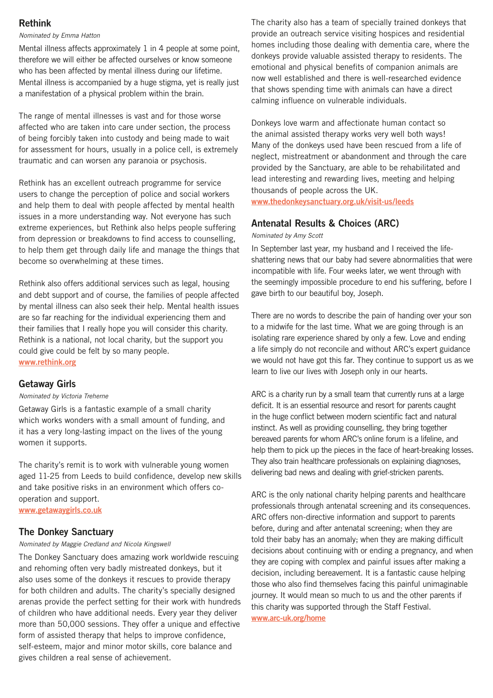# **Rethink**

#### *Nominated by Emma Hatton*

Mental illness affects approximately 1 in 4 people at some point, therefore we will either be affected ourselves or know someone who has been affected by mental illness during our lifetime. Mental illness is accompanied by a huge stigma, yet is really just a manifestation of a physical problem within the brain.

The range of mental illnesses is vast and for those worse affected who are taken into care under section, the process of being forcibly taken into custody and being made to wait for assessment for hours, usually in a police cell, is extremely traumatic and can worsen any paranoia or psychosis.

Rethink has an excellent outreach programme for service users to change the perception of police and social workers and help them to deal with people affected by mental health issues in a more understanding way. Not everyone has such extreme experiences, but Rethink also helps people suffering from depression or breakdowns to find access to counselling, to help them get through daily life and manage the things that become so overwhelming at these times.

Rethink also offers additional services such as legal, housing and debt support and of course, the families of people affected by mental illness can also seek their help. Mental health issues are so far reaching for the individual experiencing them and their families that I really hope you will consider this charity. Rethink is a national, not local charity, but the support you could give could be felt by so many people.

**[www.rethink.org](http://www.rethink.org)**

#### **Getaway Girls**

#### *Nominated by Victoria Treherne*

Getaway Girls is a fantastic example of a small charity which works wonders with a small amount of funding, and it has a very long-lasting impact on the lives of the young women it supports.

The charity's remit is to work with vulnerable young women aged 11-25 from Leeds to build confidence, develop new skills and take positive risks in an environment which offers cooperation and support. **[www.getawaygirls.co.uk](http://www.getawaygirls.co.uk)**

## **The Donkey Sanctuary**

#### *Nominated by Maggie Credland and Nicola Kingswell*

The Donkey Sanctuary does amazing work worldwide rescuing and rehoming often very badly mistreated donkeys, but it also uses some of the donkeys it rescues to provide therapy for both children and adults. The charity's specially designed arenas provide the perfect setting for their work with hundreds of children who have additional needs. Every year they deliver more than 50,000 sessions. They offer a unique and effective form of assisted therapy that helps to improve confidence, self-esteem, major and minor motor skills, core balance and gives children a real sense of achievement.

The charity also has a team of specially trained donkeys that provide an outreach service visiting hospices and residential homes including those dealing with dementia care, where the donkeys provide valuable assisted therapy to residents. The emotional and physical benefits of companion animals are now well established and there is well-researched evidence that shows spending time with animals can have a direct calming influence on vulnerable individuals.

Donkeys love warm and affectionate human contact so the animal assisted therapy works very well both ways! Many of the donkeys used have been rescued from a life of neglect, mistreatment or abandonment and through the care provided by the Sanctuary, are able to be rehabilitated and lead interesting and rewarding lives, meeting and helping thousands of people across the UK.

**[www.thedonkeysanctuary.org.uk/visit-us/leeds](http://www.thedonkeysanctuary.org.uk/visit-us/leeds)**

# **Antenatal Results & Choices (ARC)**

*Nominated by Amy Scott*

In September last year, my husband and I received the lifeshattering news that our baby had severe abnormalities that were incompatible with life. Four weeks later, we went through with the seemingly impossible procedure to end his suffering, before I gave birth to our beautiful boy, Joseph.

There are no words to describe the pain of handing over your son to a midwife for the last time. What we are going through is an isolating rare experience shared by only a few. Love and ending a life simply do not reconcile and without ARC's expert guidance we would not have got this far. They continue to support us as we learn to live our lives with Joseph only in our hearts.

ARC is a charity run by a small team that currently runs at a large deficit. It is an essential resource and resort for parents caught in the huge conflict between modern scientific fact and natural instinct. As well as providing counselling, they bring together bereaved parents for whom ARC's online forum is a lifeline, and help them to pick up the pieces in the face of heart-breaking losses. They also train healthcare professionals on explaining diagnoses, delivering bad news and dealing with grief-stricken parents.

ARC is the only national charity helping parents and healthcare professionals through antenatal screening and its consequences. ARC offers non-directive information and support to parents before, during and after antenatal screening; when they are told their baby has an anomaly; when they are making difficult decisions about continuing with or ending a pregnancy, and when they are coping with complex and painful issues after making a decision, including bereavement. It is a fantastic cause helping those who also find themselves facing this painful unimaginable journey. It would mean so much to us and the other parents if this charity was supported through the Staff Festival. **[www.arc-uk.org/home](http://www.arc-uk.org/home)**